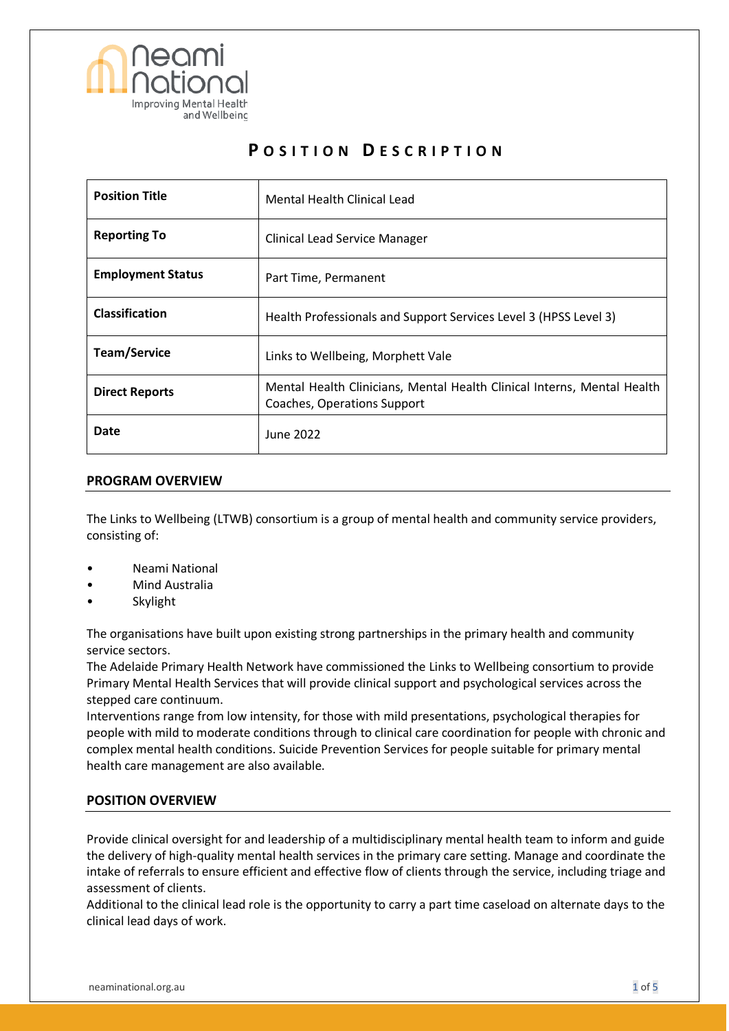

# **P O S I T I O N D E S C R I P T I O N**

| <b>Position Title</b>    | Mental Health Clinical Lead                                                                            |
|--------------------------|--------------------------------------------------------------------------------------------------------|
| <b>Reporting To</b>      | <b>Clinical Lead Service Manager</b>                                                                   |
| <b>Employment Status</b> | Part Time, Permanent                                                                                   |
| <b>Classification</b>    | Health Professionals and Support Services Level 3 (HPSS Level 3)                                       |
| <b>Team/Service</b>      | Links to Wellbeing, Morphett Vale                                                                      |
| <b>Direct Reports</b>    | Mental Health Clinicians, Mental Health Clinical Interns, Mental Health<br>Coaches, Operations Support |
| Date                     | June 2022                                                                                              |

### **PROGRAM OVERVIEW**

The Links to Wellbeing (LTWB) consortium is a group of mental health and community service providers, consisting of:

- Neami National
- Mind Australia
- **Skylight**

The organisations have built upon existing strong partnerships in the primary health and community service sectors.

The Adelaide Primary Health Network have commissioned the Links to Wellbeing consortium to provide Primary Mental Health Services that will provide clinical support and psychological services across the stepped care continuum.

Interventions range from low intensity, for those with mild presentations, psychological therapies for people with mild to moderate conditions through to clinical care coordination for people with chronic and complex mental health conditions. Suicide Prevention Services for people suitable for primary mental health care management are also available.

## **POSITION OVERVIEW**

Provide clinical oversight for and leadership of a multidisciplinary mental health team to inform and guide the delivery of high-quality mental health services in the primary care setting. Manage and coordinate the intake of referrals to ensure efficient and effective flow of clients through the service, including triage and assessment of clients.

Additional to the clinical lead role is the opportunity to carry a part time caseload on alternate days to the clinical lead days of work.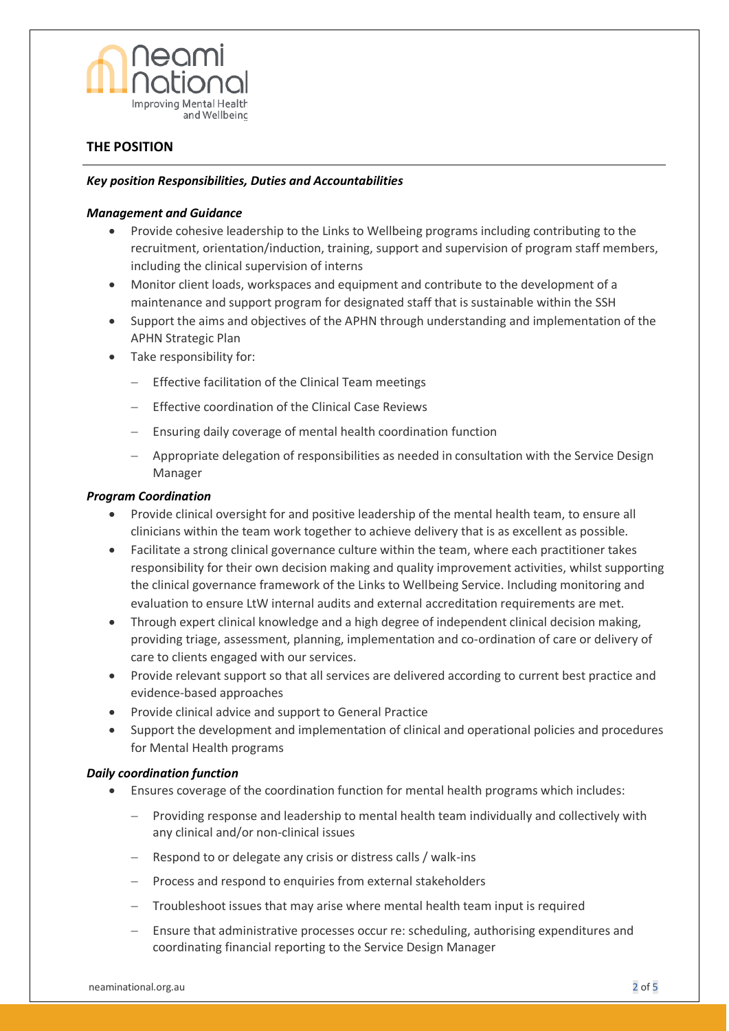

## **THE POSITION**

#### *Key position Responsibilities, Duties and Accountabilities*

#### *Management and Guidance*

- Provide cohesive leadership to the Links to Wellbeing programs including contributing to the recruitment, orientation/induction, training, support and supervision of program staff members, including the clinical supervision of interns
- Monitor client loads, workspaces and equipment and contribute to the development of a maintenance and support program for designated staff that is sustainable within the SSH
- Support the aims and objectives of the APHN through understanding and implementation of the APHN Strategic Plan
- Take responsibility for:
	- − Effective facilitation of the Clinical Team meetings
	- Effective coordination of the Clinical Case Reviews
	- − Ensuring daily coverage of mental health coordination function
	- − Appropriate delegation of responsibilities as needed in consultation with the Service Design Manager

#### *Program Coordination*

- Provide clinical oversight for and positive leadership of the mental health team, to ensure all clinicians within the team work together to achieve delivery that is as excellent as possible.
- Facilitate a strong clinical governance culture within the team, where each practitioner takes responsibility for their own decision making and quality improvement activities, whilst supporting the clinical governance framework of the Links to Wellbeing Service. Including monitoring and evaluation to ensure LtW internal audits and external accreditation requirements are met.
- Through expert clinical knowledge and a high degree of independent clinical decision making, providing triage, assessment, planning, implementation and co-ordination of care or delivery of care to clients engaged with our services.
- Provide relevant support so that all services are delivered according to current best practice and evidence-based approaches
- Provide clinical advice and support to General Practice
- Support the development and implementation of clinical and operational policies and procedures for Mental Health programs

#### *Daily coordination function*

- Ensures coverage of the coordination function for mental health programs which includes:
	- Providing response and leadership to mental health team individually and collectively with any clinical and/or non-clinical issues
	- − Respond to or delegate any crisis or distress calls / walk-ins
	- − Process and respond to enquiries from external stakeholders
	- Troubleshoot issues that may arise where mental health team input is required
	- Ensure that administrative processes occur re: scheduling, authorising expenditures and coordinating financial reporting to the Service Design Manager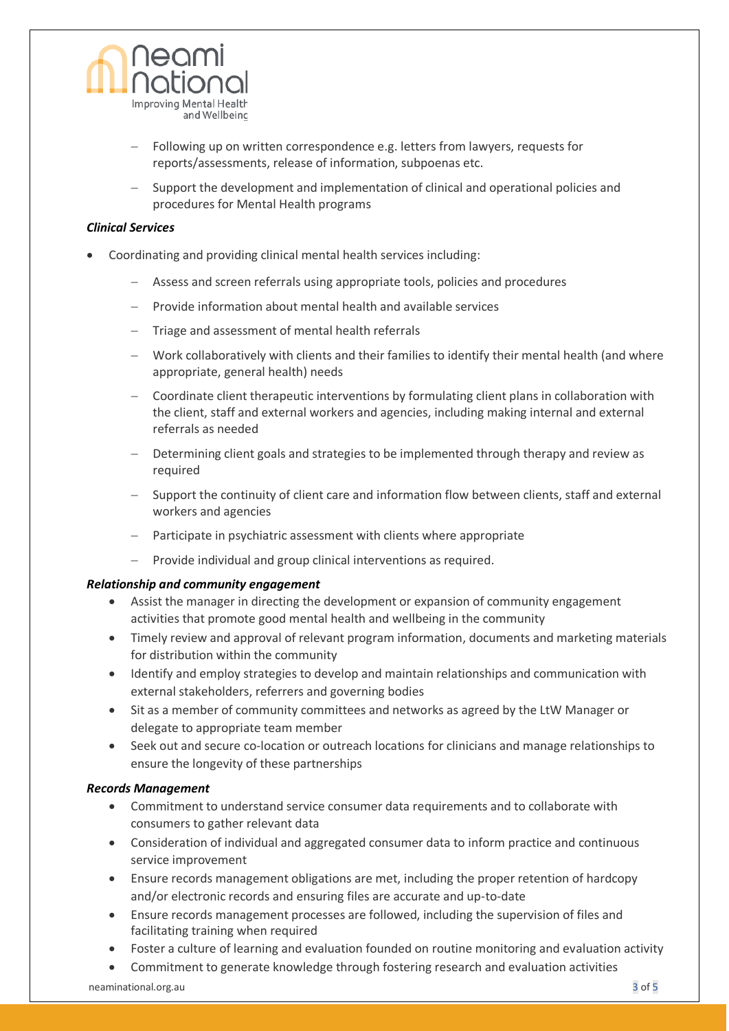

- Following up on written correspondence e.g. letters from lawyers, requests for reports/assessments, release of information, subpoenas etc.
- − Support the development and implementation of clinical and operational policies and procedures for Mental Health programs

#### *Clinical Services*

- Coordinating and providing clinical mental health services including:
	- − Assess and screen referrals using appropriate tools, policies and procedures
	- − Provide information about mental health and available services
	- − Triage and assessment of mental health referrals
	- − Work collaboratively with clients and their families to identify their mental health (and where appropriate, general health) needs
	- − Coordinate client therapeutic interventions by formulating client plans in collaboration with the client, staff and external workers and agencies, including making internal and external referrals as needed
	- Determining client goals and strategies to be implemented through therapy and review as required
	- Support the continuity of client care and information flow between clients, staff and external workers and agencies
	- − Participate in psychiatric assessment with clients where appropriate
	- − Provide individual and group clinical interventions as required.

#### *Relationship and community engagement*

- Assist the manager in directing the development or expansion of community engagement activities that promote good mental health and wellbeing in the community
- Timely review and approval of relevant program information, documents and marketing materials for distribution within the community
- Identify and employ strategies to develop and maintain relationships and communication with external stakeholders, referrers and governing bodies
- Sit as a member of community committees and networks as agreed by the LtW Manager or delegate to appropriate team member
- Seek out and secure co-location or outreach locations for clinicians and manage relationships to ensure the longevity of these partnerships

#### *Records Management*

- Commitment to understand service consumer data requirements and to collaborate with consumers to gather relevant data
- Consideration of individual and aggregated consumer data to inform practice and continuous service improvement
- Ensure records management obligations are met, including the proper retention of hardcopy and/or electronic records and ensuring files are accurate and up-to-date
- Ensure records management processes are followed, including the supervision of files and facilitating training when required
- Foster a culture of learning and evaluation founded on routine monitoring and evaluation activity
- Commitment to generate knowledge through fostering research and evaluation activities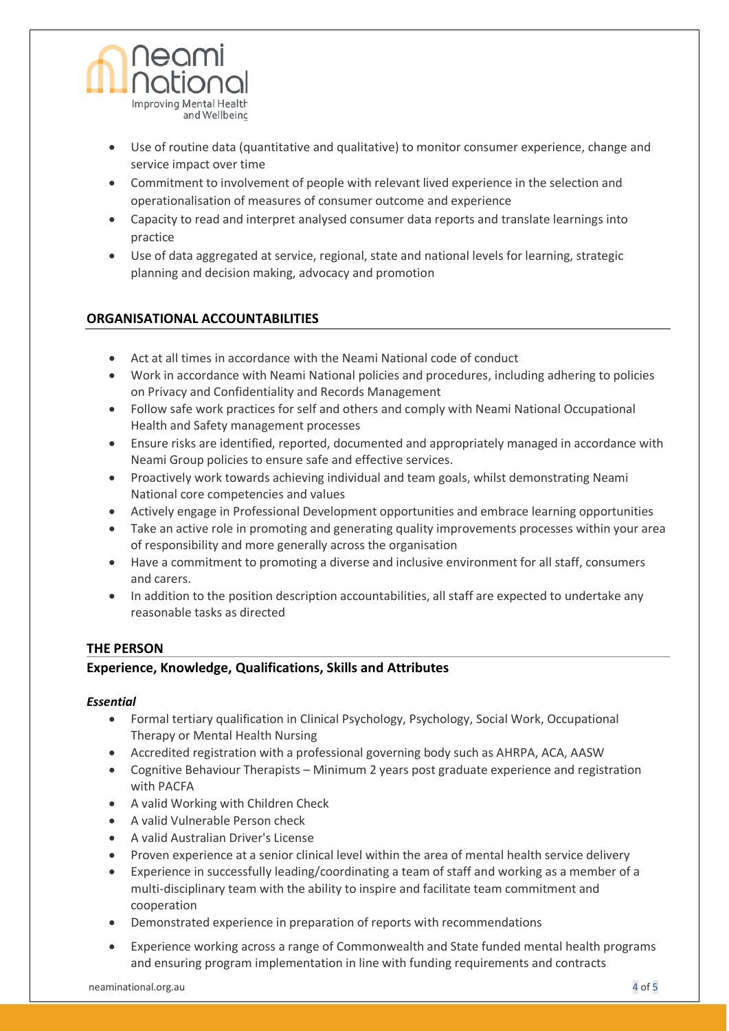

- Use of routine data (quantitative and qualitative) to monitor consumer experience, change and service impact over time
- Commitment to involvement of people with relevant lived experience in the selection and operationalisation of measures of consumer outcome and experience
- Capacity to read and interpret analysed consumer data reports and translate learnings into practice
- Use of data aggregated at service, regional, state and national levels for learning, strategic planning and decision making, advocacy and promotion

# **ORGANISATIONAL ACCOUNTABILITIES**

- Act at all times in accordance with the Neami National code of conduct
- Work in accordance with Neami National policies and procedures, including adhering to policies on Privacy and Confidentiality and Records Management
- Follow safe work practices for self and others and comply with Neami National Occupational Health and Safety management processes
- Ensure risks are identified, reported, documented and appropriately managed in accordance with Neami Group policies to ensure safe and effective services.
- Proactively work towards achieving individual and team goals, whilst demonstrating Neami National core competencies and values
- Actively engage in Professional Development opportunities and embrace learning opportunities
- Take an active role in promoting and generating quality improvements processes within your area of responsibility and more generally across the organisation
- Have a commitment to promoting a diverse and inclusive environment for all staff, consumers and carers.
- In addition to the position description accountabilities, all staff are expected to undertake any reasonable tasks as directed

## **THE PERSON**

## **Experience, Knowledge, Qualifications, Skills and Attributes**

#### *Essential*

- Formal tertiary qualification in Clinical Psychology, Psychology, Social Work, Occupational Therapy or Mental Health Nursing
- Accredited registration with a professional governing body such as AHRPA, ACA, AASW
- Cognitive Behaviour Therapists Minimum 2 years post graduate experience and registration with PACFA
- A valid Working with Children Check
- A valid Vulnerable Person check
- A valid Australian Driver's License
- Proven experience at a senior clinical level within the area of mental health service delivery
- Experience in successfully leading/coordinating a team of staff and working as a member of a multi-disciplinary team with the ability to inspire and facilitate team commitment and cooperation
- Demonstrated experience in preparation of reports with recommendations
- Experience working across a range of Commonwealth and State funded mental health programs and ensuring program implementation in line with funding requirements and contracts